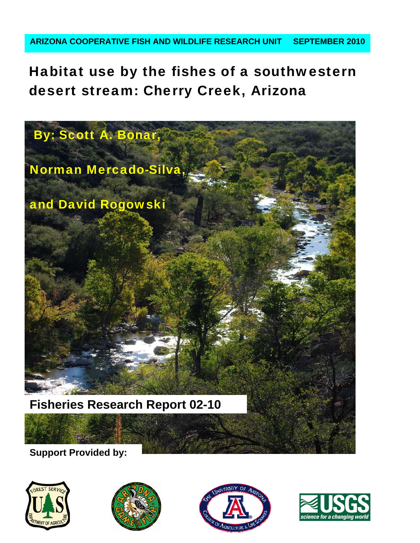Habitat use by the fishes of a southwestern desert stream: Cherry Creek, Arizona



**Support Provided by:** 







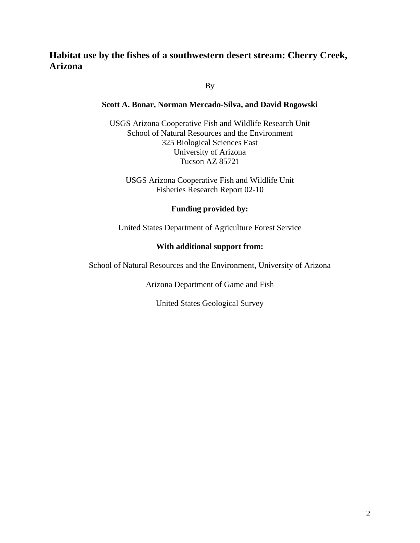# **Habitat use by the fishes of a southwestern desert stream: Cherry Creek, Arizona**

By

# **Scott A. Bonar, Norman Mercado-Silva, and David Rogowski**

USGS Arizona Cooperative Fish and Wildlife Research Unit School of Natural Resources and the Environment 325 Biological Sciences East University of Arizona Tucson AZ 85721

USGS Arizona Cooperative Fish and Wildlife Unit Fisheries Research Report 02-10

# **Funding provided by:**

United States Department of Agriculture Forest Service

# **With additional support from:**

School of Natural Resources and the Environment, University of Arizona

Arizona Department of Game and Fish

United States Geological Survey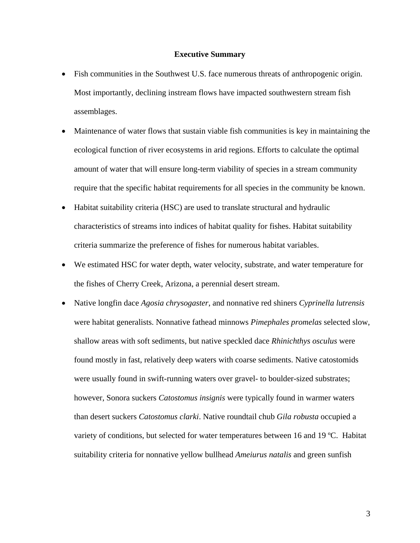#### **Executive Summary**

- Fish communities in the Southwest U.S. face numerous threats of anthropogenic origin. Most importantly, declining instream flows have impacted southwestern stream fish assemblages.
- Maintenance of water flows that sustain viable fish communities is key in maintaining the ecological function of river ecosystems in arid regions. Efforts to calculate the optimal amount of water that will ensure long-term viability of species in a stream community require that the specific habitat requirements for all species in the community be known.
- Habitat suitability criteria (HSC) are used to translate structural and hydraulic characteristics of streams into indices of habitat quality for fishes. Habitat suitability criteria summarize the preference of fishes for numerous habitat variables.
- We estimated HSC for water depth, water velocity, substrate, and water temperature for the fishes of Cherry Creek, Arizona, a perennial desert stream.
- Native longfin dace *Agosia chrysogaster*, and nonnative red shiners *Cyprinella lutrensis* were habitat generalists. Nonnative fathead minnows *Pimephales promelas* selected slow, shallow areas with soft sediments, but native speckled dace *Rhinichthys osculus* were found mostly in fast, relatively deep waters with coarse sediments. Native catostomids were usually found in swift-running waters over gravel- to boulder-sized substrates; however, Sonora suckers *Catostomus insignis* were typically found in warmer waters than desert suckers *Catostomus clarki*. Native roundtail chub *Gila robusta* occupied a variety of conditions, but selected for water temperatures between 16 and 19 ºC. Habitat suitability criteria for nonnative yellow bullhead *Ameiurus natalis* and green sunfish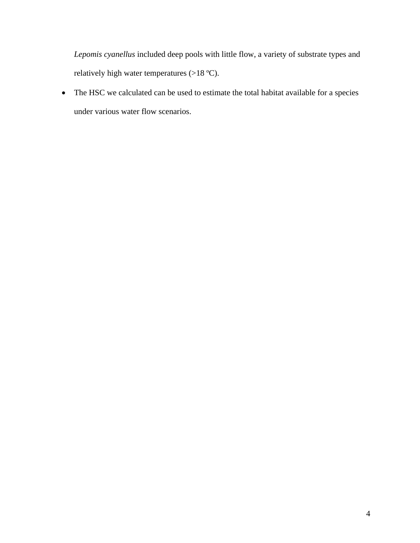*Lepomis cyanellus* included deep pools with little flow, a variety of substrate types and relatively high water temperatures (>18 ºC).

• The HSC we calculated can be used to estimate the total habitat available for a species under various water flow scenarios.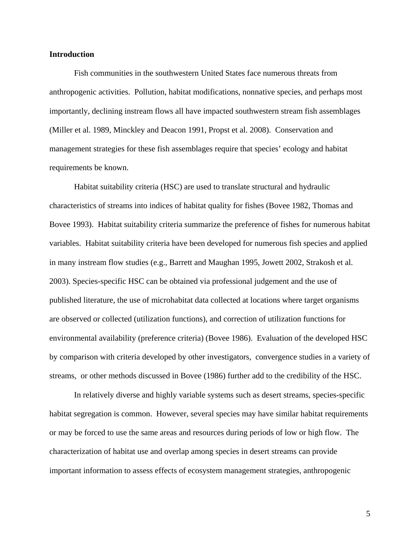#### **Introduction**

 Fish communities in the southwestern United States face numerous threats from anthropogenic activities. Pollution, habitat modifications, nonnative species, and perhaps most importantly, declining instream flows all have impacted southwestern stream fish assemblages (Miller et al. 1989, Minckley and Deacon 1991, Propst et al. 2008). Conservation and management strategies for these fish assemblages require that species' ecology and habitat requirements be known.

 Habitat suitability criteria (HSC) are used to translate structural and hydraulic characteristics of streams into indices of habitat quality for fishes (Bovee 1982, Thomas and Bovee 1993). Habitat suitability criteria summarize the preference of fishes for numerous habitat variables. Habitat suitability criteria have been developed for numerous fish species and applied in many instream flow studies (e.g., Barrett and Maughan 1995, Jowett 2002, Strakosh et al. 2003). Species-specific HSC can be obtained via professional judgement and the use of published literature, the use of microhabitat data collected at locations where target organisms are observed or collected (utilization functions), and correction of utilization functions for environmental availability (preference criteria) (Bovee 1986). Evaluation of the developed HSC by comparison with criteria developed by other investigators, convergence studies in a variety of streams, or other methods discussed in Bovee (1986) further add to the credibility of the HSC.

 In relatively diverse and highly variable systems such as desert streams, species-specific habitat segregation is common. However, several species may have similar habitat requirements or may be forced to use the same areas and resources during periods of low or high flow. The characterization of habitat use and overlap among species in desert streams can provide important information to assess effects of ecosystem management strategies, anthropogenic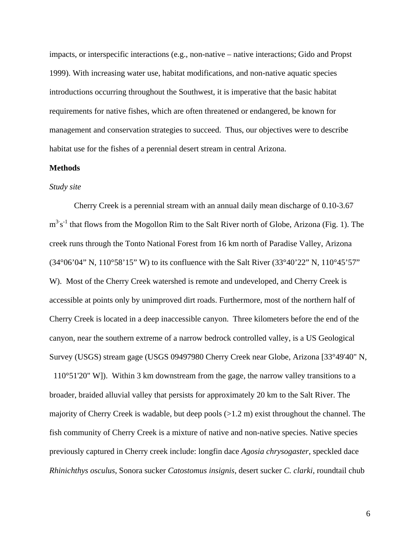impacts, or interspecific interactions (e.g., non-native – native interactions; Gido and Propst 1999). With increasing water use, habitat modifications, and non-native aquatic species introductions occurring throughout the Southwest, it is imperative that the basic habitat requirements for native fishes, which are often threatened or endangered, be known for management and conservation strategies to succeed. Thus, our objectives were to describe habitat use for the fishes of a perennial desert stream in central Arizona.

## **Methods**

# *Study site*

 Cherry Creek is a perennial stream with an annual daily mean discharge of 0.10-3.67  $m^3 s^{-1}$  that flows from the Mogollon Rim to the Salt River north of Globe, Arizona (Fig. 1). The creek runs through the Tonto National Forest from 16 km north of Paradise Valley, Arizona (34°06'04" N, 110°58'15" W) to its confluence with the Salt River (33°40'22" N, 110°45'57" W). Most of the Cherry Creek watershed is remote and undeveloped, and Cherry Creek is accessible at points only by unimproved dirt roads. Furthermore, most of the northern half of Cherry Creek is located in a deep inaccessible canyon. Three kilometers before the end of the canyon, near the southern extreme of a narrow bedrock controlled valley, is a US Geological Survey (USGS) stream gage (USGS 09497980 Cherry Creek near Globe, Arizona [33°49'40" N,

 110°51'20" W]). Within 3 km downstream from the gage, the narrow valley transitions to a broader, braided alluvial valley that persists for approximately 20 km to the Salt River. The majority of Cherry Creek is wadable, but deep pools (>1.2 m) exist throughout the channel. The fish community of Cherry Creek is a mixture of native and non-native species. Native species previously captured in Cherry creek include: longfin dace *Agosia chrysogaster*, speckled dace *Rhinichthys osculus*, Sonora sucker *Catostomus insignis*, desert sucker *C. clarki*, roundtail chub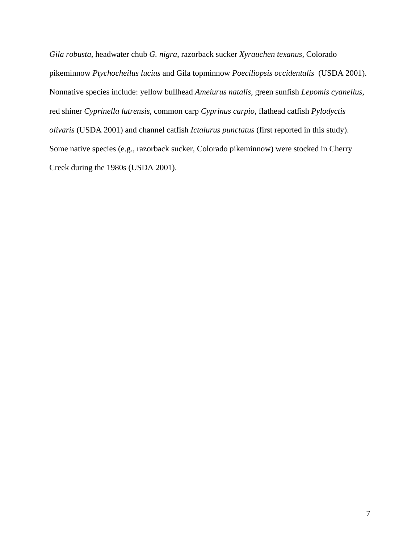*Gila robusta,* headwater chub *G. nigra*, razorback sucker *Xyrauchen texanus,* Colorado pikeminnow *Ptychocheilus lucius* and Gila topminnow *Poeciliopsis occidentalis* (USDA 2001). Nonnative species include: yellow bullhead *Ameiurus natalis,* green sunfish *Lepomis cyanellus*, red shiner *Cyprinella lutrensis,* common carp *Cyprinus carpio*, flathead catfish *Pylodyctis olivaris* (USDA 2001) and channel catfish *Ictalurus punctatus* (first reported in this study). Some native species (e.g., razorback sucker, Colorado pikeminnow) were stocked in Cherry Creek during the 1980s (USDA 2001).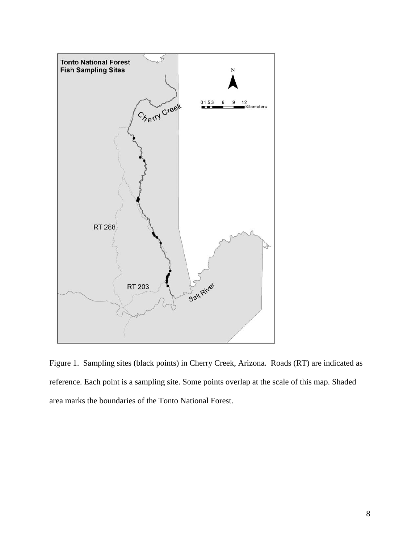

Figure 1. Sampling sites (black points) in Cherry Creek, Arizona. Roads (RT) are indicated as reference. Each point is a sampling site. Some points overlap at the scale of this map. Shaded area marks the boundaries of the Tonto National Forest.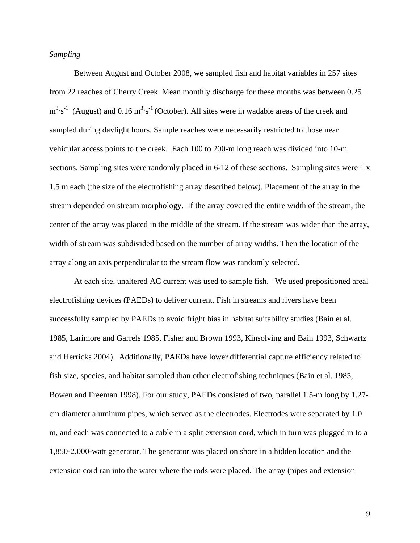## *Sampling*

 Between August and October 2008, we sampled fish and habitat variables in 257 sites from 22 reaches of Cherry Creek. Mean monthly discharge for these months was between 0.25  $m<sup>3</sup> \cdot s<sup>-1</sup>$  (August) and 0.16  $m<sup>3</sup> \cdot s<sup>-1</sup>$  (October). All sites were in wadable areas of the creek and sampled during daylight hours. Sample reaches were necessarily restricted to those near vehicular access points to the creek. Each 100 to 200-m long reach was divided into 10-m sections. Sampling sites were randomly placed in 6-12 of these sections. Sampling sites were 1 x 1.5 m each (the size of the electrofishing array described below). Placement of the array in the stream depended on stream morphology. If the array covered the entire width of the stream, the center of the array was placed in the middle of the stream. If the stream was wider than the array, width of stream was subdivided based on the number of array widths. Then the location of the array along an axis perpendicular to the stream flow was randomly selected.

 At each site, unaltered AC current was used to sample fish. We used prepositioned areal electrofishing devices (PAEDs) to deliver current. Fish in streams and rivers have been successfully sampled by PAEDs to avoid fright bias in habitat suitability studies (Bain et al. 1985, Larimore and Garrels 1985, Fisher and Brown 1993, Kinsolving and Bain 1993, Schwartz and Herricks 2004). Additionally, PAEDs have lower differential capture efficiency related to fish size, species, and habitat sampled than other electrofishing techniques (Bain et al. 1985, Bowen and Freeman 1998). For our study, PAEDs consisted of two, parallel 1.5-m long by 1.27 cm diameter aluminum pipes, which served as the electrodes. Electrodes were separated by 1.0 m, and each was connected to a cable in a split extension cord, which in turn was plugged in to a 1,850-2,000-watt generator. The generator was placed on shore in a hidden location and the extension cord ran into the water where the rods were placed. The array (pipes and extension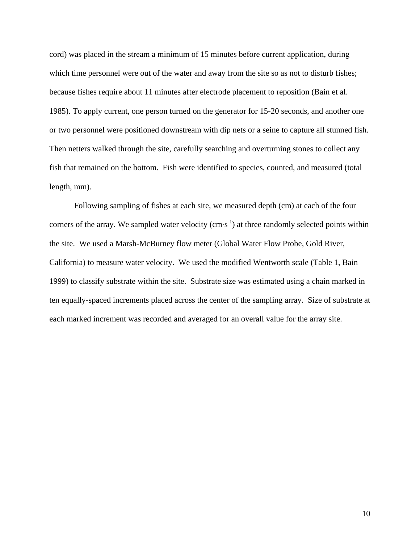cord) was placed in the stream a minimum of 15 minutes before current application, during which time personnel were out of the water and away from the site so as not to disturb fishes; because fishes require about 11 minutes after electrode placement to reposition (Bain et al. 1985). To apply current, one person turned on the generator for 15-20 seconds, and another one or two personnel were positioned downstream with dip nets or a seine to capture all stunned fish. Then netters walked through the site, carefully searching and overturning stones to collect any fish that remained on the bottom. Fish were identified to species, counted, and measured (total length, mm).

 Following sampling of fishes at each site, we measured depth (cm) at each of the four corners of the array. We sampled water velocity  $(cm·s^{-1})$  at three randomly selected points within the site. We used a Marsh-McBurney flow meter (Global Water Flow Probe, Gold River, California) to measure water velocity. We used the modified Wentworth scale (Table 1, Bain 1999) to classify substrate within the site. Substrate size was estimated using a chain marked in ten equally-spaced increments placed across the center of the sampling array. Size of substrate at each marked increment was recorded and averaged for an overall value for the array site.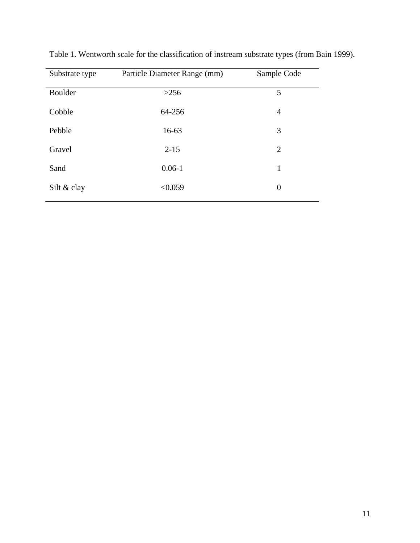| Substrate type | Particle Diameter Range (mm) | Sample Code    |
|----------------|------------------------------|----------------|
| Boulder        | >256                         | 5              |
| Cobble         | 64-256                       | 4              |
| Pebble         | $16 - 63$                    | 3              |
| Gravel         | $2 - 15$                     | 2              |
| Sand           | $0.06 - 1$                   | 1              |
| Silt & clay    | < 0.059                      | $\overline{0}$ |
|                |                              |                |

Table 1. Wentworth scale for the classification of instream substrate types (from Bain 1999).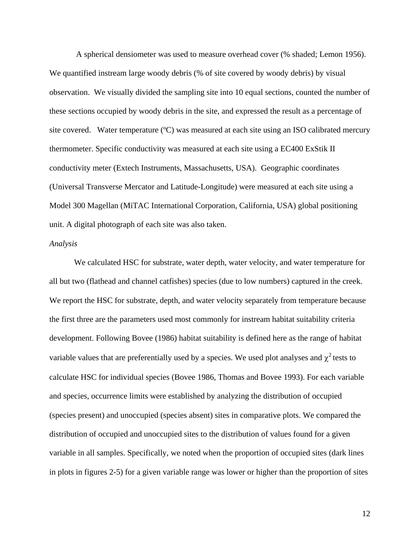A spherical densiometer was used to measure overhead cover (% shaded; Lemon 1956). We quantified instream large woody debris (% of site covered by woody debris) by visual observation. We visually divided the sampling site into 10 equal sections, counted the number of these sections occupied by woody debris in the site, and expressed the result as a percentage of site covered. Water temperature (°C) was measured at each site using an ISO calibrated mercury thermometer. Specific conductivity was measured at each site using a EC400 ExStik II conductivity meter (Extech Instruments, Massachusetts, USA). Geographic coordinates (Universal Transverse Mercator and Latitude-Longitude) were measured at each site using a Model 300 Magellan (MiTAC International Corporation, California, USA) global positioning unit. A digital photograph of each site was also taken.

#### *Analysis*

 We calculated HSC for substrate, water depth, water velocity, and water temperature for all but two (flathead and channel catfishes) species (due to low numbers) captured in the creek. We report the HSC for substrate, depth, and water velocity separately from temperature because the first three are the parameters used most commonly for instream habitat suitability criteria development. Following Bovee (1986) habitat suitability is defined here as the range of habitat variable values that are preferentially used by a species. We used plot analyses and  $\chi^2$  tests to calculate HSC for individual species (Bovee 1986, Thomas and Bovee 1993). For each variable and species, occurrence limits were established by analyzing the distribution of occupied (species present) and unoccupied (species absent) sites in comparative plots. We compared the distribution of occupied and unoccupied sites to the distribution of values found for a given variable in all samples. Specifically, we noted when the proportion of occupied sites (dark lines in plots in figures 2-5) for a given variable range was lower or higher than the proportion of sites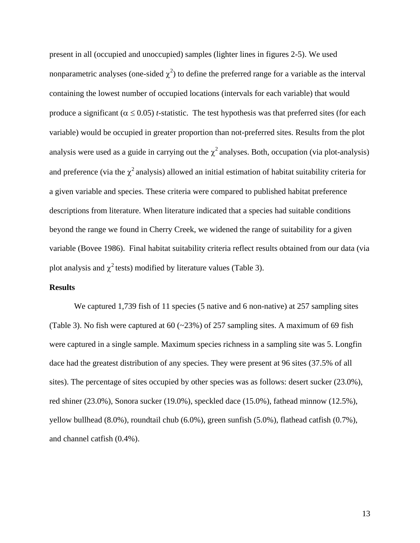present in all (occupied and unoccupied) samples (lighter lines in figures 2-5). We used nonparametric analyses (one-sided  $\chi^2$ ) to define the preferred range for a variable as the interval containing the lowest number of occupied locations (intervals for each variable) that would produce a significant ( $\alpha \le 0.05$ ) *t*-statistic. The test hypothesis was that preferred sites (for each variable) would be occupied in greater proportion than not-preferred sites. Results from the plot analysis were used as a guide in carrying out the  $\chi^2$  analyses. Both, occupation (via plot-analysis) and preference (via the  $\chi^2$  analysis) allowed an initial estimation of habitat suitability criteria for a given variable and species. These criteria were compared to published habitat preference descriptions from literature. When literature indicated that a species had suitable conditions beyond the range we found in Cherry Creek, we widened the range of suitability for a given variable (Bovee 1986). Final habitat suitability criteria reflect results obtained from our data (via plot analysis and  $\chi^2$  tests) modified by literature values (Table 3).

# **Results**

We captured 1,739 fish of 11 species (5 native and 6 non-native) at 257 sampling sites (Table 3). No fish were captured at  $60$  ( $\sim$ 23%) of 257 sampling sites. A maximum of 69 fish were captured in a single sample. Maximum species richness in a sampling site was 5. Longfin dace had the greatest distribution of any species. They were present at 96 sites (37.5% of all sites). The percentage of sites occupied by other species was as follows: desert sucker (23.0%), red shiner (23.0%), Sonora sucker (19.0%), speckled dace (15.0%), fathead minnow (12.5%), yellow bullhead (8.0%), roundtail chub (6.0%), green sunfish (5.0%), flathead catfish (0.7%), and channel catfish (0.4%).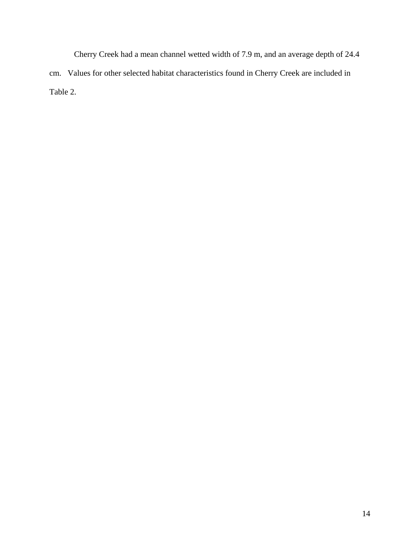Cherry Creek had a mean channel wetted width of 7.9 m, and an average depth of 24.4 cm. Values for other selected habitat characteristics found in Cherry Creek are included in Table 2.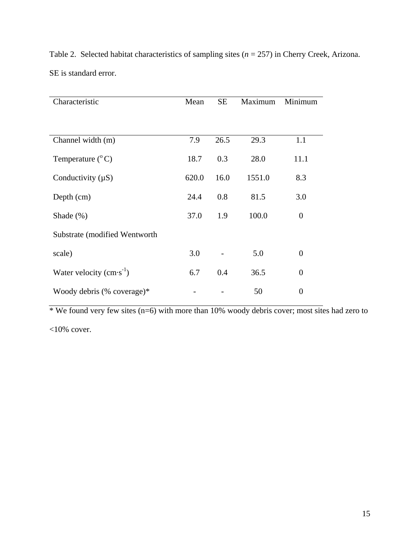| Characteristic                | Mean  | <b>SE</b> | Maximum | Minimum        |
|-------------------------------|-------|-----------|---------|----------------|
|                               |       |           |         |                |
|                               |       |           |         |                |
| Channel width (m)             | 7.9   | 26.5      | 29.3    | 1.1            |
| Temperature $(^{\circ}C)$     | 18.7  | 0.3       | 28.0    | 11.1           |
| Conductivity $(\mu S)$        | 620.0 | 16.0      | 1551.0  | 8.3            |
| Depth (cm)                    | 24.4  | 0.8       | 81.5    | 3.0            |
| Shade $(\%)$                  | 37.0  | 1.9       | 100.0   | $\overline{0}$ |
| Substrate (modified Wentworth |       |           |         |                |
| scale)                        | 3.0   |           | 5.0     | $\overline{0}$ |
| Water velocity $(cm·s^{-1})$  | 6.7   | 0.4       | 36.5    | $\overline{0}$ |
| Woody debris $%$ coverage)*   |       |           | 50      | $\overline{0}$ |

Table 2. Selected habitat characteristics of sampling sites (*n* = 257) in Cherry Creek, Arizona. SE is standard error.

\* We found very few sites  $(n=6)$  with more than 10% woody debris cover; most sites had zero to  $<10\%$  cover.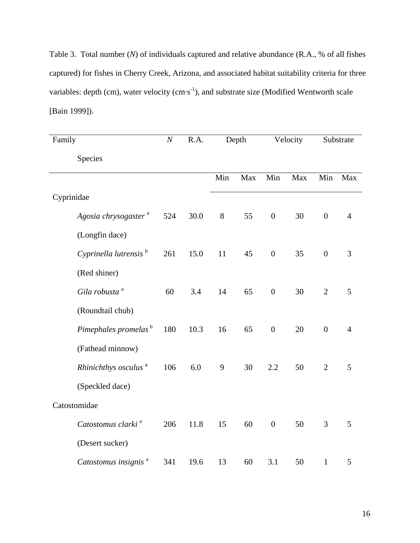Table 3. Total number (*N*) of individuals captured and relative abundance (R.A., % of all fishes captured) for fishes in Cherry Creek, Arizona, and associated habitat suitability criteria for three variables: depth (cm), water velocity (cm·s<sup>-1</sup>), and substrate size (Modified Wentworth scale [Bain 1999]).

| Family     |                                   | $\boldsymbol{N}$ | R.A. | Depth |     | Velocity         |     | Substrate        |                |
|------------|-----------------------------------|------------------|------|-------|-----|------------------|-----|------------------|----------------|
|            | Species                           |                  |      |       |     |                  |     |                  |                |
|            |                                   |                  |      | Min   | Max | Min              | Max | Min              | Max            |
| Cyprinidae |                                   |                  |      |       |     |                  |     |                  |                |
|            | Agosia chrysogaster <sup>a</sup>  | 524              | 30.0 | 8     | 55  | $\boldsymbol{0}$ | 30  | $\boldsymbol{0}$ | $\overline{4}$ |
|            | (Longfin dace)                    |                  |      |       |     |                  |     |                  |                |
|            | Cyprinella lutrensis <sup>b</sup> | 261              | 15.0 | 11    | 45  | $\boldsymbol{0}$ | 35  | $\boldsymbol{0}$ | 3              |
|            | (Red shiner)                      |                  |      |       |     |                  |     |                  |                |
|            | Gila robusta <sup>a</sup>         | 60               | 3.4  | 14    | 65  | $\boldsymbol{0}$ | 30  | $\overline{2}$   | 5              |
|            | (Roundtail chub)                  |                  |      |       |     |                  |     |                  |                |
|            | Pimephales promelas <sup>b</sup>  | 180              | 10.3 | 16    | 65  | $\boldsymbol{0}$ | 20  | $\boldsymbol{0}$ | $\overline{4}$ |
|            | (Fathead minnow)                  |                  |      |       |     |                  |     |                  |                |
|            | Rhinichthys osculus <sup>a</sup>  | 106              | 6.0  | 9     | 30  | 2.2              | 50  | $\overline{2}$   | 5              |
|            | (Speckled dace)                   |                  |      |       |     |                  |     |                  |                |
|            | Catostomidae                      |                  |      |       |     |                  |     |                  |                |
|            | Catostomus clarki <sup>a</sup>    | 206              | 11.8 | 15    | 60  | $\boldsymbol{0}$ | 50  | 3                | 5              |
|            | (Desert sucker)                   |                  |      |       |     |                  |     |                  |                |
|            | Catostomus insignis <sup>a</sup>  | 341              | 19.6 | 13    | 60  | 3.1              | 50  | $1\,$            | 5              |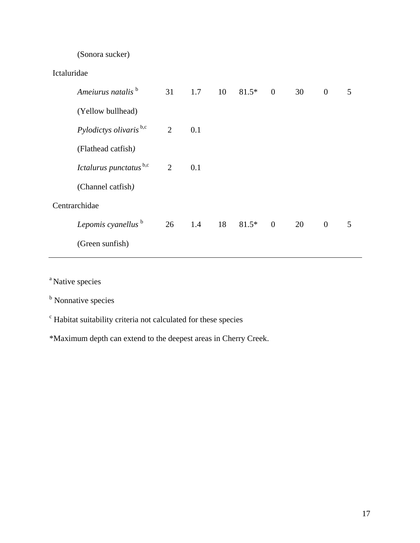# (Sonora sucker)

| Ameiurus natalis <sup>b</sup>      | 31 | 1.7    | $10 \t 81.5^* \t 0$ |                | 30 | $\overline{0}$ | 5 |
|------------------------------------|----|--------|---------------------|----------------|----|----------------|---|
| (Yellow bullhead)                  |    |        |                     |                |    |                |   |
| Pylodictys olivaris <sup>b,c</sup> | 2  | 0.1    |                     |                |    |                |   |
| (Flathead catfish)                 |    |        |                     |                |    |                |   |
| Ictalurus punctatus b,c            | 2  | 0.1    |                     |                |    |                |   |
| (Channel catfish)                  |    |        |                     |                |    |                |   |
| Centrarchidae                      |    |        |                     |                |    |                |   |
| Lepomis cyanellus <sup>b</sup>     |    | 26 1.4 | 18 81.5*            | $\overline{0}$ | 20 | $\mathbf{0}$   | 5 |
| (Green sunfish)                    |    |        |                     |                |    |                |   |
|                                    |    |        |                     |                |    |                |   |

<sup>a</sup> Native species

<sup>b</sup> Nonnative species

<sup>c</sup> Habitat suitability criteria not calculated for these species

\*Maximum depth can extend to the deepest areas in Cherry Creek.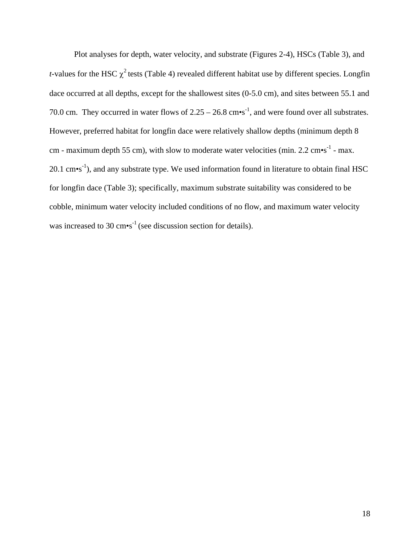Plot analyses for depth, water velocity, and substrate (Figures 2-4), HSCs (Table 3), and *t*-values for the HSC  $\chi^2$  tests (Table 4) revealed different habitat use by different species. Longfin dace occurred at all depths, except for the shallowest sites (0-5.0 cm), and sites between 55.1 and 70.0 cm. They occurred in water flows of  $2.25 - 26.8$  cm•s<sup>-1</sup>, and were found over all substrates. However, preferred habitat for longfin dace were relatively shallow depths (minimum depth 8 cm - maximum depth 55 cm), with slow to moderate water velocities (min. 2.2 cm $\cdot$ s<sup>-1</sup> - max.  $20.1 \text{ cm} \cdot \text{s}^{-1}$ ), and any substrate type. We used information found in literature to obtain final HSC for longfin dace (Table 3); specifically, maximum substrate suitability was considered to be cobble, minimum water velocity included conditions of no flow, and maximum water velocity was increased to 30  $\text{cm}\text{-s}^{-1}$  (see discussion section for details).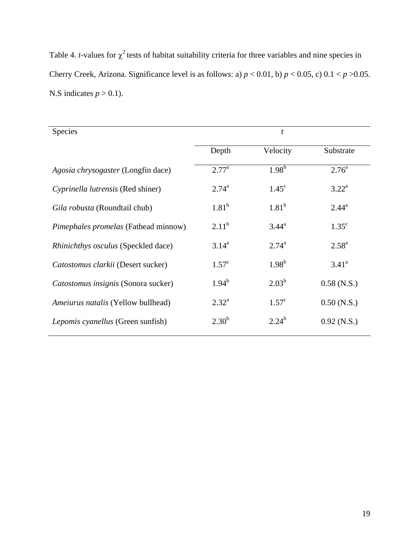Table 4. *t*-values for  $\chi^2$  tests of habitat suitability criteria for three variables and nine species in Cherry Creek, Arizona. Significance level is as follows: a)  $p < 0.01$ , b)  $p < 0.05$ , c)  $0.1 < p > 0.05$ . N.S indicates  $p > 0.1$ ).

| <b>Species</b>                              | $\boldsymbol{t}$ |                |                |  |  |
|---------------------------------------------|------------------|----------------|----------------|--|--|
|                                             | Depth            | Velocity       | Substrate      |  |  |
| Agosia chrysogaster (Longfin dace)          | $2.77^{\rm a}$   | $1.98^{b}$     | $2.76^{\circ}$ |  |  |
| Cyprinella lutrensis (Red shiner)           | $2.74^{\rm a}$   | $1.45^{\circ}$ | $3.22^{\rm a}$ |  |  |
| Gila robusta (Roundtail chub)               | $1.81^{b}$       | $1.81^{b}$     | $2.44^{\rm a}$ |  |  |
| <i>Pimephales promelas</i> (Fathead minnow) | $2.11^b$         | $3.44^{\rm a}$ | $1.35^{\circ}$ |  |  |
| Rhinichthys osculus (Speckled dace)         | $3.14^{a}$       | $2.74^{\rm a}$ | $2.58^{a}$     |  |  |
| Catostomus clarkii (Desert sucker)          | $1.57^{\circ}$   | $1.98^{b}$     | $3.41^{\circ}$ |  |  |
| Catostomus insignis (Sonora sucker)         | $1.94^b$         | $2.03^{b}$     | $0.58$ (N.S.)  |  |  |
| <i>Ameiurus natalis</i> (Yellow bullhead)   | $2.32^{\rm a}$   | $1.57^{\circ}$ | $0.50$ (N.S.)  |  |  |
| <i>Lepomis cyanellus</i> (Green sunfish)    | $2.30^{b}$       | $2.24^{b}$     | $0.92$ (N.S.)  |  |  |
|                                             |                  |                |                |  |  |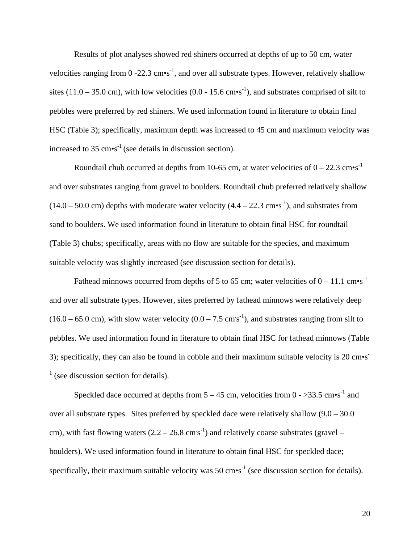Results of plot analyses showed red shiners occurred at depths of up to 50 cm, water velocities ranging from  $0 - 22.3$  cm•s<sup>-1</sup>, and over all substrate types. However, relatively shallow sites (11.0 – 35.0 cm), with low velocities (0.0 - 15.6 cm•s<sup>-1</sup>), and substrates comprised of silt to pebbles were preferred by red shiners. We used information found in literature to obtain final HSC (Table 3); specifically, maximum depth was increased to 45 cm and maximum velocity was increased to 35  $\text{cm} \cdot \text{s}^{-1}$  (see details in discussion section).

Roundtail chub occurred at depths from 10-65 cm, at water velocities of  $0 - 22.3$  cm•s<sup>-1</sup> and over substrates ranging from gravel to boulders. Roundtail chub preferred relatively shallow  $(14.0 - 50.0 \text{ cm})$  depths with moderate water velocity  $(4.4 - 22.3 \text{ cm} \cdot \text{s}^{-1})$ , and substrates from sand to boulders. We used information found in literature to obtain final HSC for roundtail (Table 3) chubs; specifically, areas with no flow are suitable for the species, and maximum suitable velocity was slightly increased (see discussion section for details).

Fathead minnows occurred from depths of 5 to 65 cm; water velocities of  $0 - 11.1$  cm•s<sup>-1</sup> and over all substrate types. However, sites preferred by fathead minnows were relatively deep  $(16.0 - 65.0 \text{ cm})$ , with slow water velocity  $(0.0 - 7.5 \text{ cm s}^{-1})$ , and substrates ranging from silt to pebbles. We used information found in literature to obtain final HSC for fathead minnows (Table 3); specifically, they can also be found in cobble and their maximum suitable velocity is 20 cm•s<sup>-</sup>  $<sup>1</sup>$  (see discussion section for details).</sup>

Speckled dace occurred at depths from  $5 - 45$  cm, velocities from  $0 - >33.5$  cm•s<sup>-1</sup> and over all substrate types. Sites preferred by speckled dace were relatively shallow (9.0 – 30.0 cm), with fast flowing waters  $(2.2 - 26.8 \text{ cm s}^{-1})$  and relatively coarse substrates (gravel – boulders). We used information found in literature to obtain final HSC for speckled dace; specifically, their maximum suitable velocity was 50  $\text{cm} \cdot \text{s}^{-1}$  (see discussion section for details).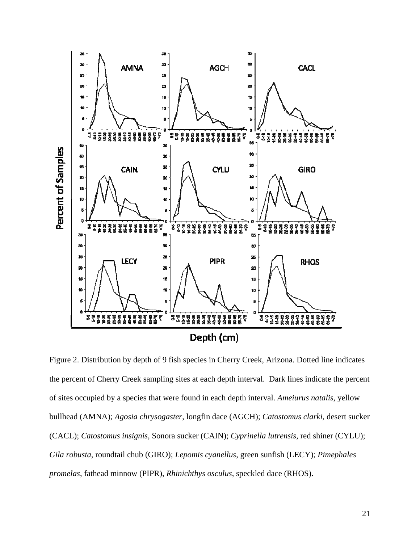

Figure 2. Distribution by depth of 9 fish species in Cherry Creek, Arizona. Dotted line indicates the percent of Cherry Creek sampling sites at each depth interval. Dark lines indicate the percent of sites occupied by a species that were found in each depth interval. *Ameiurus natalis*, yellow bullhead (AMNA); *Agosia chrysogaster*, longfin dace (AGCH); *Catostomus clarki*, desert sucker (CACL); *Catostomus insignis*, Sonora sucker (CAIN); *Cyprinella lutrensis*, red shiner (CYLU); *Gila robusta*, roundtail chub (GIRO); *Lepomis cyanellus*, green sunfish (LECY); *Pimephales promelas*, fathead minnow (PIPR), *Rhinichthys osculus*, speckled dace (RHOS).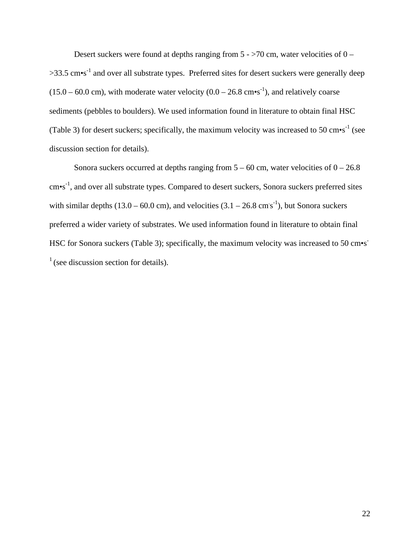Desert suckers were found at depths ranging from  $5 - 5/0$  cm, water velocities of  $0 >$ 33.5 cm•s<sup>-1</sup> and over all substrate types. Preferred sites for desert suckers were generally deep  $(15.0 - 60.0 \text{ cm})$ , with moderate water velocity  $(0.0 - 26.8 \text{ cm} \cdot \text{s}^{-1})$ , and relatively coarse sediments (pebbles to boulders). We used information found in literature to obtain final HSC (Table 3) for desert suckers; specifically, the maximum velocity was increased to 50 cm $\cdot$ s<sup>-1</sup> (see discussion section for details).

Sonora suckers occurred at depths ranging from  $5 - 60$  cm, water velocities of  $0 - 26.8$ cm•s-1, and over all substrate types. Compared to desert suckers, Sonora suckers preferred sites with similar depths  $(13.0 - 60.0 \text{ cm})$ , and velocities  $(3.1 - 26.8 \text{ cm s}^{-1})$ , but Sonora suckers preferred a wider variety of substrates. We used information found in literature to obtain final HSC for Sonora suckers (Table 3); specifically, the maximum velocity was increased to 50 cm•s<sup>-</sup>  $<sup>1</sup>$  (see discussion section for details).</sup>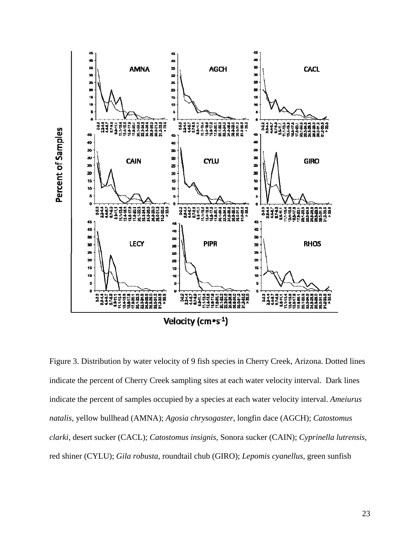

Figure 3. Distribution by water velocity of 9 fish species in Cherry Creek, Arizona. Dotted lines indicate the percent of Cherry Creek sampling sites at each water velocity interval. Dark lines indicate the percent of samples occupied by a species at each water velocity interval. *Ameiurus natalis*, yellow bullhead (AMNA); *Agosia chrysogaster*, longfin dace (AGCH); *Catostomus clarki*, desert sucker (CACL); *Catostomus insignis*, Sonora sucker (CAIN); *Cyprinella lutrensis*, red shiner (CYLU); *Gila robusta*, roundtail chub (GIRO); *Lepomis cyanellus*, green sunfish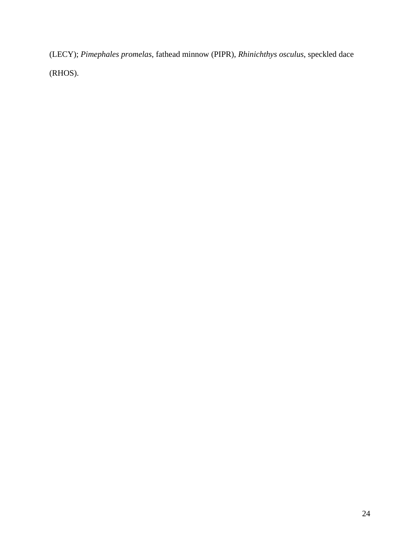(LECY); *Pimephales promelas*, fathead minnow (PIPR), *Rhinichthys osculus*, speckled dace (RHOS).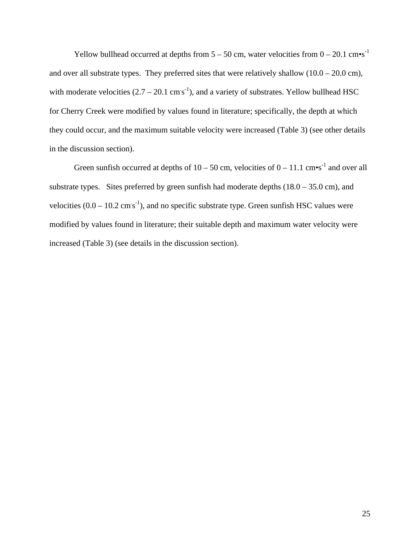Yellow bullhead occurred at depths from  $5 - 50$  cm, water velocities from  $0 - 20.1$  cm•s<sup>-1</sup> and over all substrate types. They preferred sites that were relatively shallow  $(10.0 - 20.0 \text{ cm})$ , with moderate velocities  $(2.7 - 20.1 \text{ cm s}^{-1})$ , and a variety of substrates. Yellow bullhead HSC for Cherry Creek were modified by values found in literature; specifically, the depth at which they could occur, and the maximum suitable velocity were increased (Table 3) (see other details in the discussion section).

Green sunfish occurred at depths of  $10 - 50$  cm, velocities of  $0 - 11.1$  cm•s<sup>-1</sup> and over all substrate types. Sites preferred by green sunfish had moderate depths  $(18.0 - 35.0 \text{ cm})$ , and velocities  $(0.0 - 10.2 \text{ cm s}^{-1})$ , and no specific substrate type. Green sunfish HSC values were modified by values found in literature; their suitable depth and maximum water velocity were increased (Table 3) (see details in the discussion section).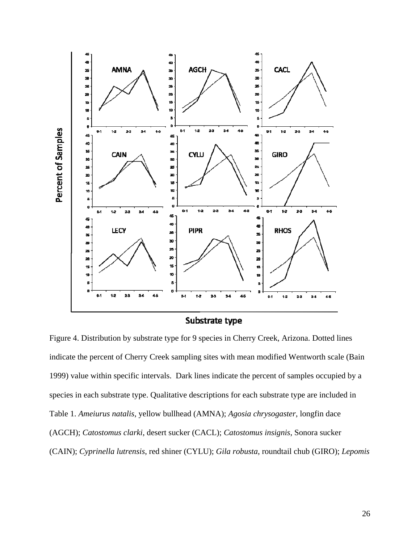

Substrate type

Figure 4. Distribution by substrate type for 9 species in Cherry Creek, Arizona. Dotted lines indicate the percent of Cherry Creek sampling sites with mean modified Wentworth scale (Bain 1999) value within specific intervals. Dark lines indicate the percent of samples occupied by a species in each substrate type. Qualitative descriptions for each substrate type are included in Table 1. *Ameiurus natalis*, yellow bullhead (AMNA); *Agosia chrysogaster*, longfin dace (AGCH); *Catostomus clarki*, desert sucker (CACL); *Catostomus insignis*, Sonora sucker (CAIN); *Cyprinella lutrensis*, red shiner (CYLU); *Gila robusta*, roundtail chub (GIRO); *Lepomis*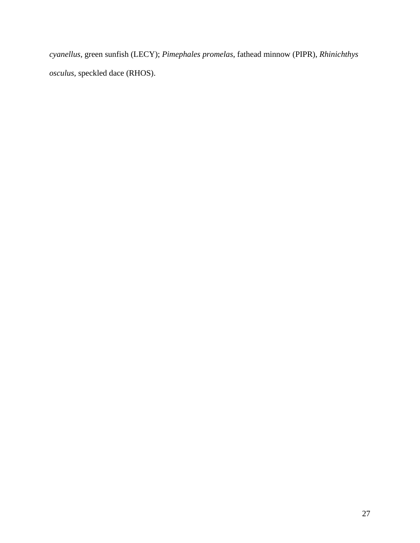*cyanellus*, green sunfish (LECY); *Pimephales promelas*, fathead minnow (PIPR), *Rhinichthys osculus*, speckled dace (RHOS).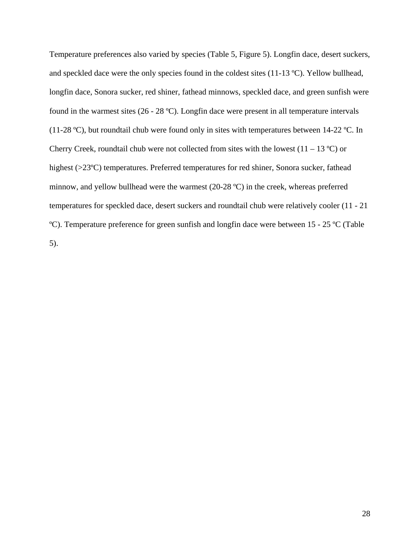Temperature preferences also varied by species (Table 5, Figure 5). Longfin dace, desert suckers, and speckled dace were the only species found in the coldest sites (11-13 ºC). Yellow bullhead, longfin dace, Sonora sucker, red shiner, fathead minnows, speckled dace, and green sunfish were found in the warmest sites (26 - 28 ºC). Longfin dace were present in all temperature intervals (11-28 ºC), but roundtail chub were found only in sites with temperatures between 14-22 ºC. In Cherry Creek, roundtail chub were not collected from sites with the lowest  $(11 - 13 \degree C)$  or highest (>23<sup>o</sup>C) temperatures. Preferred temperatures for red shiner, Sonora sucker, fathead minnow, and yellow bullhead were the warmest (20-28 ºC) in the creek, whereas preferred temperatures for speckled dace, desert suckers and roundtail chub were relatively cooler (11 - 21 ºC). Temperature preference for green sunfish and longfin dace were between 15 - 25 ºC (Table 5).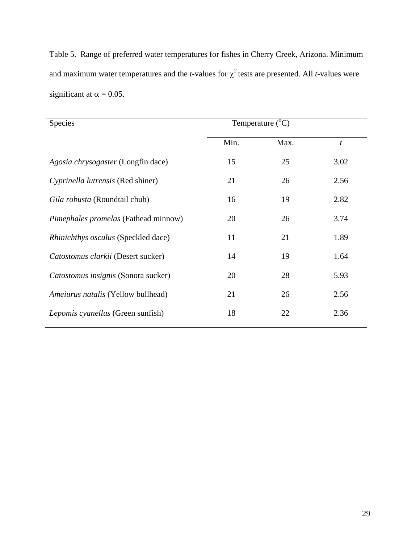Table 5. Range of preferred water temperatures for fishes in Cherry Creek, Arizona. Minimum and maximum water temperatures and the *t*-values for  $\chi^2$  tests are presented. All *t*-values were significant at  $\alpha = 0.05$ .

| <b>Species</b>                              | Temperature $(^{\circ}C)$ |      |                  |
|---------------------------------------------|---------------------------|------|------------------|
|                                             | Min.                      | Max. | $\boldsymbol{t}$ |
| Agosia chrysogaster (Longfin dace)          | 15                        | 25   | 3.02             |
| Cyprinella lutrensis (Red shiner)           | 21                        | 26   | 2.56             |
| Gila robusta (Roundtail chub)               | 16                        | 19   | 2.82             |
| <i>Pimephales promelas</i> (Fathead minnow) | 20                        | 26   | 3.74             |
| <i>Rhinichthys osculus</i> (Speckled dace)  | 11                        | 21   | 1.89             |
| Catostomus clarkii (Desert sucker)          | 14                        | 19   | 1.64             |
| Catostomus insignis (Sonora sucker)         | 20                        | 28   | 5.93             |
| Ameiurus natalis (Yellow bullhead)          | 21                        | 26   | 2.56             |
| <i>Lepomis cyanellus</i> (Green sunfish)    | 18                        | 22   | 2.36             |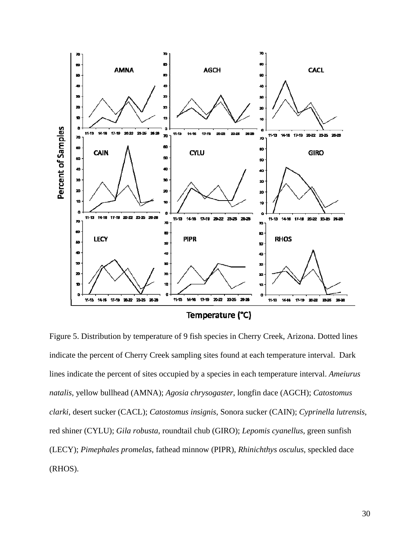

Figure 5. Distribution by temperature of 9 fish species in Cherry Creek, Arizona. Dotted lines indicate the percent of Cherry Creek sampling sites found at each temperature interval. Dark lines indicate the percent of sites occupied by a species in each temperature interval. *Ameiurus natalis*, yellow bullhead (AMNA); *Agosia chrysogaster*, longfin dace (AGCH); *Catostomus clarki*, desert sucker (CACL); *Catostomus insignis*, Sonora sucker (CAIN); *Cyprinella lutrensis*, red shiner (CYLU); *Gila robusta*, roundtail chub (GIRO); *Lepomis cyanellus*, green sunfish (LECY); *Pimephales promelas*, fathead minnow (PIPR), *Rhinichthys osculus*, speckled dace (RHOS).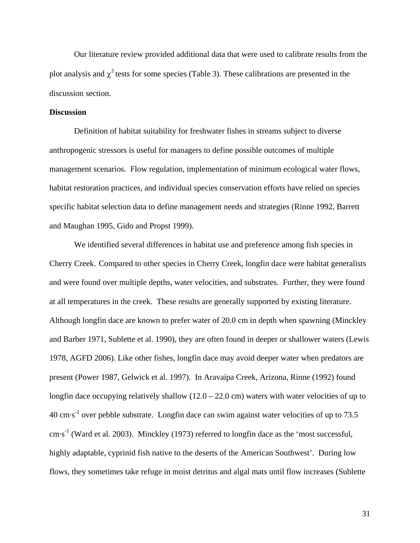Our literature review provided additional data that were used to calibrate results from the plot analysis and  $\chi^2$  tests for some species (Table 3). These calibrations are presented in the discussion section.

#### **Discussion**

 Definition of habitat suitability for freshwater fishes in streams subject to diverse anthropogenic stressors is useful for managers to define possible outcomes of multiple management scenarios. Flow regulation, implementation of minimum ecological water flows, habitat restoration practices, and individual species conservation efforts have relied on species specific habitat selection data to define management needs and strategies (Rinne 1992, Barrett and Maughan 1995, Gido and Propst 1999).

 We identified several differences in habitat use and preference among fish species in Cherry Creek. Compared to other species in Cherry Creek, longfin dace were habitat generalists and were found over multiple depths, water velocities, and substrates. Further, they were found at all temperatures in the creek. These results are generally supported by existing literature. Although longfin dace are known to prefer water of 20.0 cm in depth when spawning (Minckley and Barber 1971, Sublette et al. 1990), they are often found in deeper or shallower waters (Lewis 1978, AGFD 2006). Like other fishes, longfin dace may avoid deeper water when predators are present (Power 1987, Gelwick et al. 1997). In Aravaipa Creek, Arizona, Rinne (1992) found longfin dace occupying relatively shallow  $(12.0 - 22.0)$  cm waters with water velocities of up to 40 cm·s-1 over pebble substrate. Longfin dace can swim against water velocities of up to 73.5  $\text{cm}\cdot\text{s}^{-1}$  (Ward et al. 2003). Minckley (1973) referred to longfin dace as the 'most successful, highly adaptable, cyprinid fish native to the deserts of the American Southwest'. During low flows, they sometimes take refuge in moist detritus and algal mats until flow increases (Sublette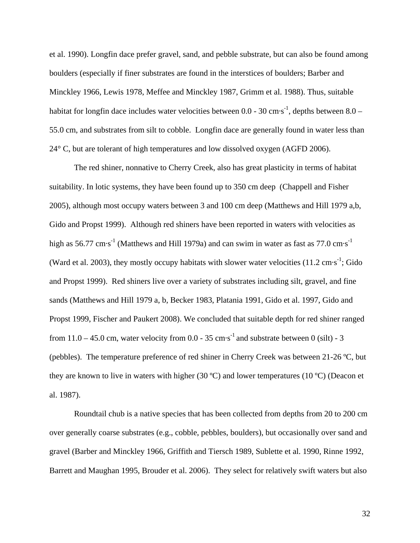et al. 1990). Longfin dace prefer gravel, sand, and pebble substrate, but can also be found among boulders (especially if finer substrates are found in the interstices of boulders; Barber and Minckley 1966, Lewis 1978, Meffee and Minckley 1987, Grimm et al. 1988). Thus, suitable habitat for longfin dace includes water velocities between  $0.0 - 30$  cm·s<sup>-1</sup>, depths between  $8.0 -$ 55.0 cm, and substrates from silt to cobble. Longfin dace are generally found in water less than 24° C, but are tolerant of high temperatures and low dissolved oxygen (AGFD 2006).

 The red shiner, nonnative to Cherry Creek, also has great plasticity in terms of habitat suitability. In lotic systems, they have been found up to 350 cm deep (Chappell and Fisher 2005), although most occupy waters between 3 and 100 cm deep (Matthews and Hill 1979 a,b, Gido and Propst 1999). Although red shiners have been reported in waters with velocities as high as  $56.77 \text{ cm} \cdot \text{s}^{-1}$  (Matthews and Hill 1979a) and can swim in water as fast as 77.0 cm $\cdot \text{s}^{-1}$ (Ward et al. 2003), they mostly occupy habitats with slower water velocities  $(11.2 \text{ cm} \cdot \text{s}^{-1})$ ; Gido and Propst 1999). Red shiners live over a variety of substrates including silt, gravel, and fine sands (Matthews and Hill 1979 a, b, Becker 1983, Platania 1991, Gido et al. 1997, Gido and Propst 1999, Fischer and Paukert 2008). We concluded that suitable depth for red shiner ranged from  $11.0 - 45.0$  cm, water velocity from 0.0 - 35 cm·s<sup>-1</sup> and substrate between 0 (silt) - 3 (pebbles). The temperature preference of red shiner in Cherry Creek was between 21-26 ºC, but they are known to live in waters with higher (30 ºC) and lower temperatures (10 ºC) (Deacon et al. 1987).

 Roundtail chub is a native species that has been collected from depths from 20 to 200 cm over generally coarse substrates (e.g., cobble, pebbles, boulders), but occasionally over sand and gravel (Barber and Minckley 1966, Griffith and Tiersch 1989, Sublette et al. 1990, Rinne 1992, Barrett and Maughan 1995, Brouder et al. 2006). They select for relatively swift waters but also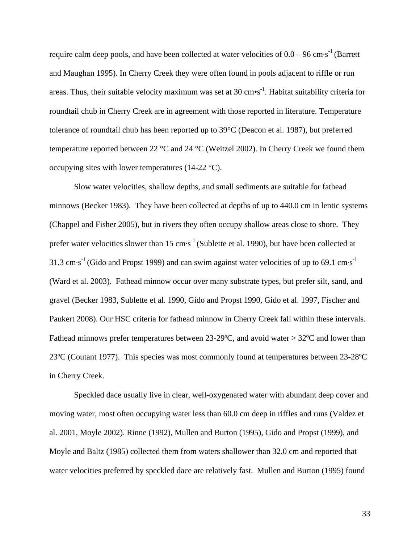require calm deep pools, and have been collected at water velocities of  $0.0 - 96$  cm·s<sup>-1</sup> (Barrett and Maughan 1995). In Cherry Creek they were often found in pools adjacent to riffle or run areas. Thus, their suitable velocity maximum was set at 30  $\text{cm}\text{-s}^{-1}$ . Habitat suitability criteria for roundtail chub in Cherry Creek are in agreement with those reported in literature. Temperature tolerance of roundtail chub has been reported up to 39°C (Deacon et al. 1987), but preferred temperature reported between 22 °C and 24 °C (Weitzel 2002). In Cherry Creek we found them occupying sites with lower temperatures (14-22  $^{\circ}$ C).

 Slow water velocities, shallow depths, and small sediments are suitable for fathead minnows (Becker 1983). They have been collected at depths of up to 440.0 cm in lentic systems (Chappel and Fisher 2005), but in rivers they often occupy shallow areas close to shore. They prefer water velocities slower than 15 cm·s<sup>-1</sup> (Sublette et al. 1990), but have been collected at 31.3 cm·s<sup>-1</sup> (Gido and Propst 1999) and can swim against water velocities of up to 69.1 cm·s<sup>-1</sup> (Ward et al. 2003). Fathead minnow occur over many substrate types, but prefer silt, sand, and gravel (Becker 1983, Sublette et al. 1990, Gido and Propst 1990, Gido et al. 1997, Fischer and Paukert 2008). Our HSC criteria for fathead minnow in Cherry Creek fall within these intervals. Fathead minnows prefer temperatures between  $23{\text -}29^{\circ}\text{C}$ , and avoid water  $>$  32 $^{\circ}\text{C}$  and lower than 23ºC (Coutant 1977). This species was most commonly found at temperatures between 23-28ºC in Cherry Creek.

 Speckled dace usually live in clear, well-oxygenated water with abundant deep cover and moving water, most often occupying water less than 60.0 cm deep in riffles and runs (Valdez et al. 2001, Moyle 2002). Rinne (1992), Mullen and Burton (1995), Gido and Propst (1999), and Moyle and Baltz (1985) collected them from waters shallower than 32.0 cm and reported that water velocities preferred by speckled dace are relatively fast. Mullen and Burton (1995) found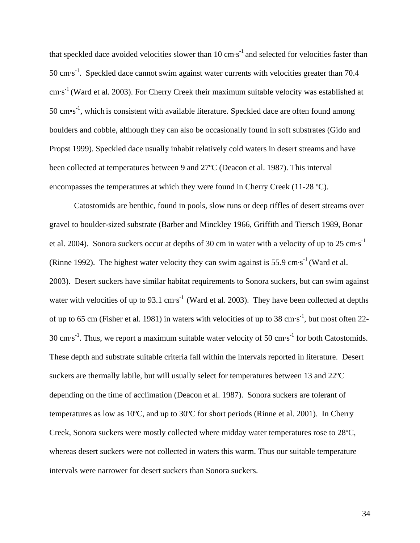that speckled dace avoided velocities slower than  $10 \text{ cm} \cdot \text{s}^{-1}$  and selected for velocities faster than  $50 \text{ cm} \cdot \text{s}^{-1}$ . Speckled dace cannot swim against water currents with velocities greater than 70.4  $\text{cm}\cdot\text{s}^{-1}$  (Ward et al. 2003). For Cherry Creek their maximum suitable velocity was established at 50 cm $\cdot$ s<sup>-1</sup>, which is consistent with available literature. Speckled dace are often found among boulders and cobble, although they can also be occasionally found in soft substrates (Gido and Propst 1999). Speckled dace usually inhabit relatively cold waters in desert streams and have been collected at temperatures between 9 and 27ºC (Deacon et al. 1987). This interval encompasses the temperatures at which they were found in Cherry Creek (11-28 ºC).

 Catostomids are benthic, found in pools, slow runs or deep riffles of desert streams over gravel to boulder-sized substrate (Barber and Minckley 1966, Griffith and Tiersch 1989, Bonar et al. 2004). Sonora suckers occur at depths of 30 cm in water with a velocity of up to 25 cm  $s^{-1}$ (Rinne 1992). The highest water velocity they can swim against is 55.9 cm $\cdot$ s<sup>-1</sup> (Ward et al.) 2003). Desert suckers have similar habitat requirements to Sonora suckers, but can swim against water with velocities of up to 93.1  $\text{cm}\cdot\text{s}^{-1}$  (Ward et al. 2003). They have been collected at depths of up to 65 cm (Fisher et al. 1981) in waters with velocities of up to 38 cm·s<sup>-1</sup>, but most often 22-30 cm $\cdot$ s<sup>-1</sup>. Thus, we report a maximum suitable water velocity of 50 cm $\cdot$ s<sup>-1</sup> for both Catostomids. These depth and substrate suitable criteria fall within the intervals reported in literature. Desert suckers are thermally labile, but will usually select for temperatures between 13 and 22ºC depending on the time of acclimation (Deacon et al. 1987). Sonora suckers are tolerant of temperatures as low as 10ºC, and up to 30ºC for short periods (Rinne et al. 2001). In Cherry Creek, Sonora suckers were mostly collected where midday water temperatures rose to 28ºC, whereas desert suckers were not collected in waters this warm. Thus our suitable temperature intervals were narrower for desert suckers than Sonora suckers.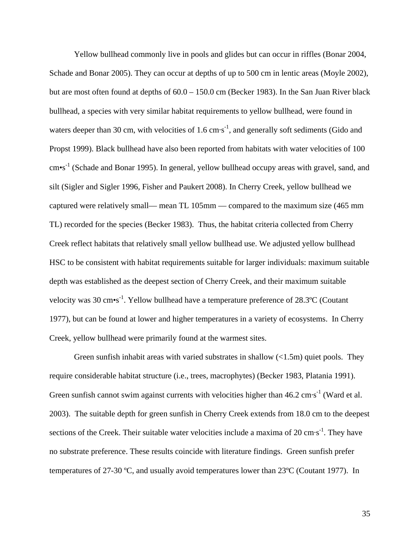Yellow bullhead commonly live in pools and glides but can occur in riffles (Bonar 2004, Schade and Bonar 2005). They can occur at depths of up to 500 cm in lentic areas (Moyle 2002), but are most often found at depths of 60.0 – 150.0 cm (Becker 1983). In the San Juan River black bullhead, a species with very similar habitat requirements to yellow bullhead, were found in waters deeper than 30 cm, with velocities of 1.6 cm $s^{-1}$ , and generally soft sediments (Gido and Propst 1999). Black bullhead have also been reported from habitats with water velocities of 100 cm•s<sup>-1</sup> (Schade and Bonar 1995). In general, yellow bullhead occupy areas with gravel, sand, and silt (Sigler and Sigler 1996, Fisher and Paukert 2008). In Cherry Creek, yellow bullhead we captured were relatively small— mean TL 105mm — compared to the maximum size (465 mm TL) recorded for the species (Becker 1983). Thus, the habitat criteria collected from Cherry Creek reflect habitats that relatively small yellow bullhead use. We adjusted yellow bullhead HSC to be consistent with habitat requirements suitable for larger individuals: maximum suitable depth was established as the deepest section of Cherry Creek, and their maximum suitable velocity was 30 cm $\cdot$ s<sup>-1</sup>. Yellow bullhead have a temperature preference of 28.3 $\degree$ C (Coutant 1977), but can be found at lower and higher temperatures in a variety of ecosystems. In Cherry Creek, yellow bullhead were primarily found at the warmest sites.

Green sunfish inhabit areas with varied substrates in shallow  $\left($ <1.5m) quiet pools. They require considerable habitat structure (i.e., trees, macrophytes) (Becker 1983, Platania 1991). Green sunfish cannot swim against currents with velocities higher than  $46.2 \text{ cm} \cdot \text{s}^{-1}$  (Ward et al. 2003). The suitable depth for green sunfish in Cherry Creek extends from 18.0 cm to the deepest sections of the Creek. Their suitable water velocities include a maxima of 20  $\text{cm}\cdot\text{s}^{-1}$ . They have no substrate preference. These results coincide with literature findings. Green sunfish prefer temperatures of 27-30 ºC, and usually avoid temperatures lower than 23ºC (Coutant 1977). In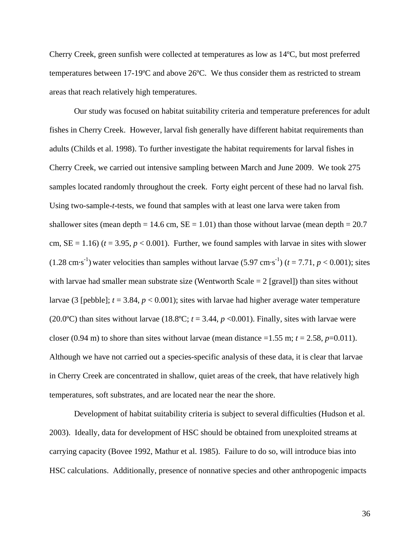Cherry Creek, green sunfish were collected at temperatures as low as 14ºC, but most preferred temperatures between 17-19ºC and above 26ºC. We thus consider them as restricted to stream areas that reach relatively high temperatures.

 Our study was focused on habitat suitability criteria and temperature preferences for adult fishes in Cherry Creek. However, larval fish generally have different habitat requirements than adults (Childs et al. 1998). To further investigate the habitat requirements for larval fishes in Cherry Creek, we carried out intensive sampling between March and June 2009. We took 275 samples located randomly throughout the creek. Forty eight percent of these had no larval fish. Using two-sample-*t*-tests, we found that samples with at least one larva were taken from shallower sites (mean depth = 14.6 cm,  $SE = 1.01$ ) than those without larvae (mean depth = 20.7 cm,  $SE = 1.16$ ) ( $t = 3.95$ ,  $p < 0.001$ ). Further, we found samples with larvae in sites with slower (1.28 cm·s<sup>-1</sup>) water velocities than samples without larvae (5.97 cm·s<sup>-1</sup>) ( $t = 7.71$ ,  $p < 0.001$ ); sites with larvae had smaller mean substrate size (Wentworth Scale  $= 2$  [gravel]) than sites without larvae (3 [pebble]; *t* = 3.84, *p* < 0.001); sites with larvae had higher average water temperature (20.0°C) than sites without larvae (18.8°C;  $t = 3.44$ ,  $p < 0.001$ ). Finally, sites with larvae were closer (0.94 m) to shore than sites without larvae (mean distance  $=1.55$  m;  $t = 2.58$ ,  $p=0.011$ ). Although we have not carried out a species-specific analysis of these data, it is clear that larvae in Cherry Creek are concentrated in shallow, quiet areas of the creek, that have relatively high temperatures, soft substrates, and are located near the near the shore.

 Development of habitat suitability criteria is subject to several difficulties (Hudson et al. 2003). Ideally, data for development of HSC should be obtained from unexploited streams at carrying capacity (Bovee 1992, Mathur et al. 1985). Failure to do so, will introduce bias into HSC calculations. Additionally, presence of nonnative species and other anthropogenic impacts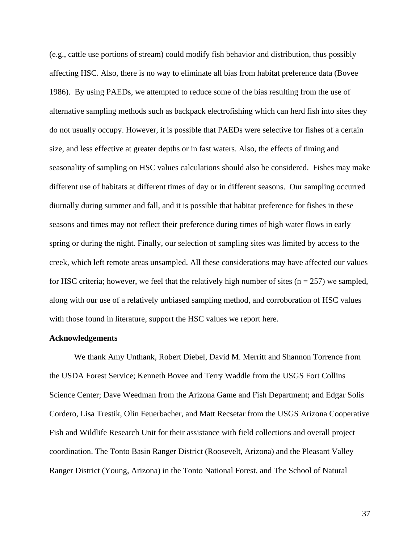(e.g., cattle use portions of stream) could modify fish behavior and distribution, thus possibly affecting HSC. Also, there is no way to eliminate all bias from habitat preference data (Bovee 1986). By using PAEDs, we attempted to reduce some of the bias resulting from the use of alternative sampling methods such as backpack electrofishing which can herd fish into sites they do not usually occupy. However, it is possible that PAEDs were selective for fishes of a certain size, and less effective at greater depths or in fast waters. Also, the effects of timing and seasonality of sampling on HSC values calculations should also be considered. Fishes may make different use of habitats at different times of day or in different seasons. Our sampling occurred diurnally during summer and fall, and it is possible that habitat preference for fishes in these seasons and times may not reflect their preference during times of high water flows in early spring or during the night. Finally, our selection of sampling sites was limited by access to the creek, which left remote areas unsampled. All these considerations may have affected our values for HSC criteria; however, we feel that the relatively high number of sites ( $n = 257$ ) we sampled, along with our use of a relatively unbiased sampling method, and corroboration of HSC values with those found in literature, support the HSC values we report here.

#### **Acknowledgements**

 We thank Amy Unthank, Robert Diebel, David M. Merritt and Shannon Torrence from the USDA Forest Service; Kenneth Bovee and Terry Waddle from the USGS Fort Collins Science Center; Dave Weedman from the Arizona Game and Fish Department; and Edgar Solis Cordero, Lisa Trestik, Olin Feuerbacher, and Matt Recsetar from the USGS Arizona Cooperative Fish and Wildlife Research Unit for their assistance with field collections and overall project coordination. The Tonto Basin Ranger District (Roosevelt, Arizona) and the Pleasant Valley Ranger District (Young, Arizona) in the Tonto National Forest, and The School of Natural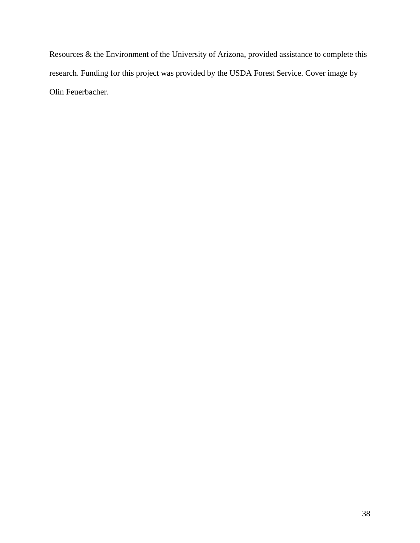Resources & the Environment of the University of Arizona, provided assistance to complete this research. Funding for this project was provided by the USDA Forest Service. Cover image by Olin Feuerbacher.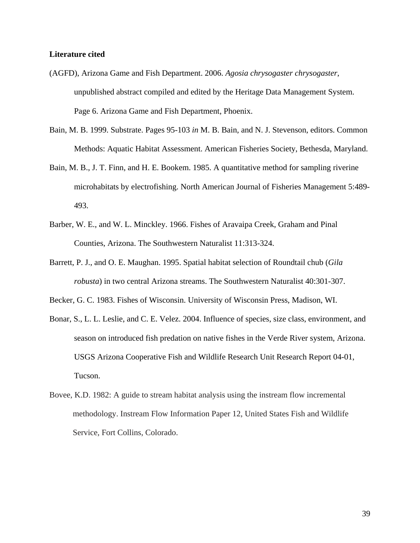#### **Literature cited**

- (AGFD), Arizona Game and Fish Department. 2006. *Agosia chrysogaster chrysogaster*, unpublished abstract compiled and edited by the Heritage Data Management System. Page 6. Arizona Game and Fish Department, Phoenix.
- Bain, M. B. 1999. Substrate. Pages 95-103 *in* M. B. Bain, and N. J. Stevenson, editors. Common Methods: Aquatic Habitat Assessment. American Fisheries Society, Bethesda, Maryland.
- Bain, M. B., J. T. Finn, and H. E. Bookem. 1985. A quantitative method for sampling riverine microhabitats by electrofishing. North American Journal of Fisheries Management 5:489- 493.
- Barber, W. E., and W. L. Minckley. 1966. Fishes of Aravaipa Creek, Graham and Pinal Counties, Arizona. The Southwestern Naturalist 11:313-324.
- Barrett, P. J., and O. E. Maughan. 1995. Spatial habitat selection of Roundtail chub (*Gila robusta*) in two central Arizona streams. The Southwestern Naturalist 40:301-307.
- Becker, G. C. 1983. Fishes of Wisconsin. University of Wisconsin Press, Madison, WI.
- Bonar, S., L. L. Leslie, and C. E. Velez. 2004. Influence of species, size class, environment, and season on introduced fish predation on native fishes in the Verde River system, Arizona. USGS Arizona Cooperative Fish and Wildlife Research Unit Research Report 04-01, Tucson.
- Bovee, K.D. 1982: A guide to stream habitat analysis using the instream flow incremental methodology. Instream Flow Information Paper 12, United States Fish and Wildlife Service, Fort Collins, Colorado.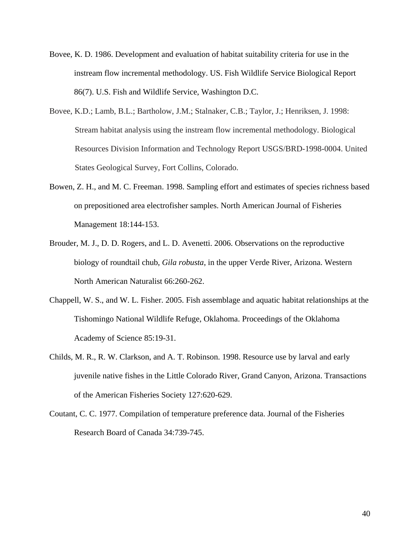- Bovee, K. D. 1986. Development and evaluation of habitat suitability criteria for use in the instream flow incremental methodology. US. Fish Wildlife Service Biological Report 86(7). U.S. Fish and Wildlife Service, Washington D.C.
- Bovee, K.D.; Lamb, B.L.; Bartholow, J.M.; Stalnaker, C.B.; Taylor, J.; Henriksen, J. 1998: Stream habitat analysis using the instream flow incremental methodology. Biological Resources Division Information and Technology Report USGS/BRD-1998-0004. United States Geological Survey, Fort Collins, Colorado.
- Bowen, Z. H., and M. C. Freeman. 1998. Sampling effort and estimates of species richness based on prepositioned area electrofisher samples. North American Journal of Fisheries Management 18:144-153.
- Brouder, M. J., D. D. Rogers, and L. D. Avenetti. 2006. Observations on the reproductive biology of roundtail chub, *Gila robusta*, in the upper Verde River, Arizona. Western North American Naturalist 66:260-262.
- Chappell, W. S., and W. L. Fisher. 2005. Fish assemblage and aquatic habitat relationships at the Tishomingo National Wildlife Refuge, Oklahoma. Proceedings of the Oklahoma Academy of Science 85:19-31.
- Childs, M. R., R. W. Clarkson, and A. T. Robinson. 1998. Resource use by larval and early juvenile native fishes in the Little Colorado River, Grand Canyon, Arizona. Transactions of the American Fisheries Society 127:620-629.
- Coutant, C. C. 1977. Compilation of temperature preference data. Journal of the Fisheries Research Board of Canada 34:739-745.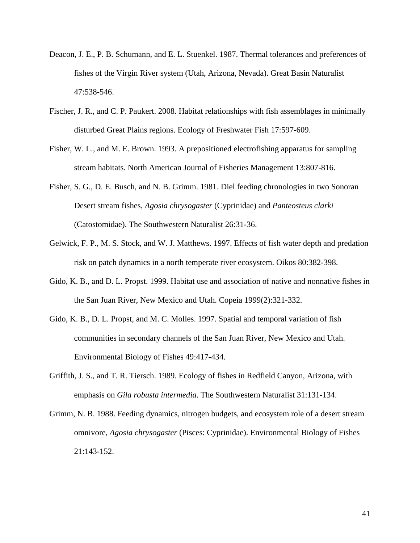- Deacon, J. E., P. B. Schumann, and E. L. Stuenkel. 1987. Thermal tolerances and preferences of fishes of the Virgin River system (Utah, Arizona, Nevada). Great Basin Naturalist 47:538-546.
- Fischer, J. R., and C. P. Paukert. 2008. Habitat relationships with fish assemblages in minimally disturbed Great Plains regions. Ecology of Freshwater Fish 17:597-609.
- Fisher, W. L., and M. E. Brown. 1993. A prepositioned electrofishing apparatus for sampling stream habitats. North American Journal of Fisheries Management 13:807-816.
- Fisher, S. G., D. E. Busch, and N. B. Grimm. 1981. Diel feeding chronologies in two Sonoran Desert stream fishes, *Agosia chrysogaster* (Cyprinidae) and *Panteosteus clarki* (Catostomidae). The Southwestern Naturalist 26:31-36.
- Gelwick, F. P., M. S. Stock, and W. J. Matthews. 1997. Effects of fish water depth and predation risk on patch dynamics in a north temperate river ecosystem. Oikos 80:382-398.
- Gido, K. B., and D. L. Propst. 1999. Habitat use and association of native and nonnative fishes in the San Juan River, New Mexico and Utah. Copeia 1999(2):321-332.
- Gido, K. B., D. L. Propst, and M. C. Molles. 1997. Spatial and temporal variation of fish communities in secondary channels of the San Juan River, New Mexico and Utah. Environmental Biology of Fishes 49:417-434.
- Griffith, J. S., and T. R. Tiersch. 1989. Ecology of fishes in Redfield Canyon, Arizona, with emphasis on *Gila robusta intermedia*. The Southwestern Naturalist 31:131-134.
- Grimm, N. B. 1988. Feeding dynamics, nitrogen budgets, and ecosystem role of a desert stream omnivore, *Agosia chrysogaster* (Pisces: Cyprinidae). Environmental Biology of Fishes 21:143-152.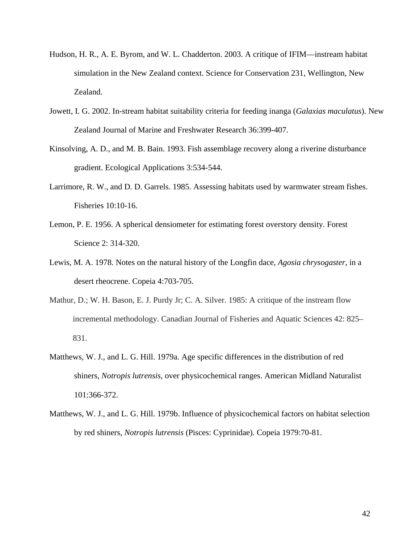- Hudson, H. R., A. E. Byrom, and W. L. Chadderton. 2003. A critique of IFIM—instream habitat simulation in the New Zealand context. Science for Conservation 231, Wellington, New Zealand.
- Jowett, I. G. 2002. In-stream habitat suitability criteria for feeding inanga (*Galaxias maculatus*). New Zealand Journal of Marine and Freshwater Research 36:399-407.
- Kinsolving, A. D., and M. B. Bain. 1993. Fish assemblage recovery along a riverine disturbance gradient. Ecological Applications 3:534-544.
- Larrimore, R. W., and D. D. Garrels. 1985. Assessing habitats used by warmwater stream fishes. Fisheries 10:10-16.
- Lemon, P. E. 1956. A spherical densiometer for estimating forest overstory density. Forest Science 2: 314-320.
- Lewis, M. A. 1978. Notes on the natural history of the Longfin dace, *Agosia chrysogaster*, in a desert rheocrene. Copeia 4:703-705.
- Mathur, D.; W. H. Bason, E. J. Purdy Jr; C. A. Silver. 1985: A critique of the instream flow incremental methodology. Canadian Journal of Fisheries and Aquatic Sciences 42: 825– 831.
- Matthews, W. J., and L. G. Hill. 1979a. Age specific differences in the distribution of red shiners, *Notropis lutrensis*, over physicochemical ranges. American Midland Naturalist 101:366-372.
- Matthews, W. J., and L. G. Hill. 1979b. Influence of physicochemical factors on habitat selection by red shiners, *Notropis lutrensis* (Pisces: Cyprinidae). Copeia 1979:70-81.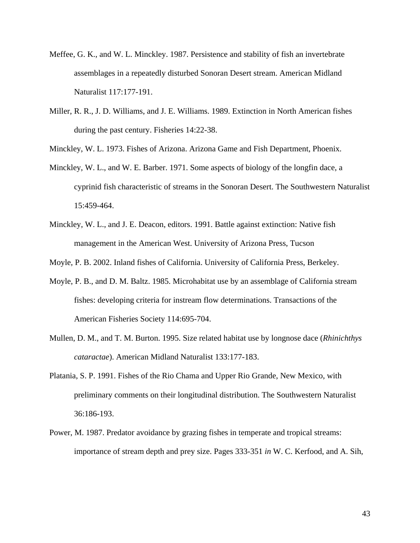- Meffee, G. K., and W. L. Minckley. 1987. Persistence and stability of fish an invertebrate assemblages in a repeatedly disturbed Sonoran Desert stream. American Midland Naturalist 117:177-191.
- Miller, R. R., J. D. Williams, and J. E. Williams. 1989. Extinction in North American fishes during the past century. Fisheries 14:22-38.
- Minckley, W. L. 1973. Fishes of Arizona. Arizona Game and Fish Department, Phoenix.
- Minckley, W. L., and W. E. Barber. 1971. Some aspects of biology of the longfin dace, a cyprinid fish characteristic of streams in the Sonoran Desert. The Southwestern Naturalist 15:459-464.
- Minckley, W. L., and J. E. Deacon, editors. 1991. Battle against extinction: Native fish management in the American West. University of Arizona Press, Tucson
- Moyle, P. B. 2002. Inland fishes of California. University of California Press, Berkeley.
- Moyle, P. B., and D. M. Baltz. 1985. Microhabitat use by an assemblage of California stream fishes: developing criteria for instream flow determinations. Transactions of the American Fisheries Society 114:695-704.
- Mullen, D. M., and T. M. Burton. 1995. Size related habitat use by longnose dace (*Rhinichthys cataractae*). American Midland Naturalist 133:177-183.
- Platania, S. P. 1991. Fishes of the Rio Chama and Upper Rio Grande, New Mexico, with preliminary comments on their longitudinal distribution. The Southwestern Naturalist 36:186-193.
- Power, M. 1987. Predator avoidance by grazing fishes in temperate and tropical streams: importance of stream depth and prey size. Pages 333-351 *in* W. C. Kerfood, and A. Sih,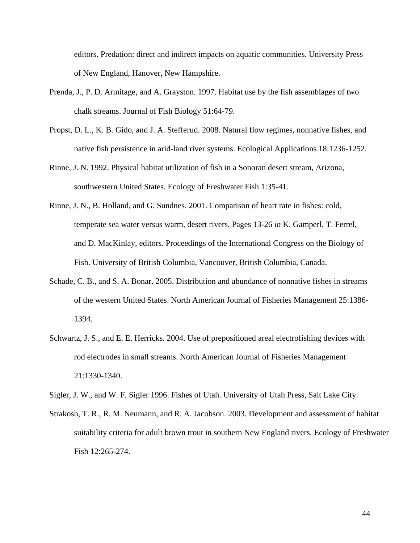editors. Predation: direct and indirect impacts on aquatic communities. University Press of New England, Hanover, New Hampshire.

- Prenda, J., P. D. Armitage, and A. Grayston. 1997. Habitat use by the fish assemblages of two chalk streams. Journal of Fish Biology 51:64-79.
- Propst, D. L., K. B. Gido, and J. A. Stefferud. 2008. Natural flow regimes, nonnative fishes, and native fish persistence in arid-land river systems. Ecological Applications 18:1236-1252.
- Rinne, J. N. 1992. Physical habitat utilization of fish in a Sonoran desert stream, Arizona, southwestern United States. Ecology of Freshwater Fish 1:35-41.
- Rinne, J. N., B. Holland, and G. Sundnes. 2001. Comparison of heart rate in fishes: cold, temperate sea water versus warm, desert rivers. Pages 13-26 *in* K. Gamperl, T. Ferrel, and D. MacKinlay, editors. Proceedings of the International Congress on the Biology of Fish. University of British Columbia, Vancouver, British Columbia, Canada.
- Schade, C. B., and S. A. Bonar. 2005. Distribution and abundance of nonnative fishes in streams of the western United States. North American Journal of Fisheries Management 25:1386- 1394.
- Schwartz, J. S., and E. E. Herricks. 2004. Use of prepositioned areal electrofishing devices with rod electrodes in small streams. North American Journal of Fisheries Management 21:1330-1340.
- Sigler, J. W., and W. F. Sigler 1996. Fishes of Utah. University of Utah Press, Salt Lake City.
- Strakosh, T. R., R. M. Neumann, and R. A. Jacobson. 2003. Development and assessment of habitat suitability criteria for adult brown trout in southern New England rivers. Ecology of Freshwater Fish 12:265-274.